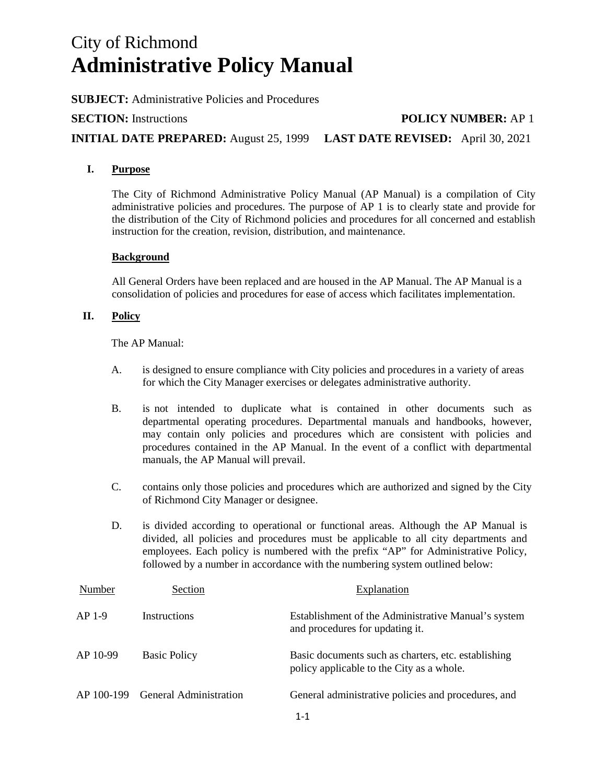## City of Richmond **Administrative Policy Manual**

**SUBJECT:** Administrative Policies and Procedures

### **SECTION:** Instructions **POLICY NUMBER:** AP 1

**INITIAL DATE PREPARED:** August 25, 1999 **LAST DATE REVISED:** April 30, 2021

## **I. Purpose**

The City of Richmond Administrative Policy Manual (AP Manual) is a compilation of City administrative policies and procedures. The purpose of AP 1 is to clearly state and provide for the distribution of the City of Richmond policies and procedures for all concerned and establish instruction for the creation, revision, distribution, and maintenance.

### **Background**

All General Orders have been replaced and are housed in the AP Manual. The AP Manual is a consolidation of policies and procedures for ease of access which facilitates implementation.

## **II. Policy**

The AP Manual:

- A. is designed to ensure compliance with City policies and procedures in a variety of areas for which the City Manager exercises or delegates administrative authority.
- B. is not intended to duplicate what is contained in other documents such as departmental operating procedures. Departmental manuals and handbooks, however, may contain only policies and procedures which are consistent with policies and procedures contained in the AP Manual. In the event of a conflict with departmental manuals, the AP Manual will prevail.
- C. contains only those policies and procedures which are authorized and signed by the City of Richmond City Manager or designee.
- D. is divided according to operational or functional areas. Although the AP Manual is divided, all policies and procedures must be applicable to all city departments and employees. Each policy is numbered with the prefix "AP" for Administrative Policy, followed by a number in accordance with the numbering system outlined below:

| Number     | Section                       | Explanation                                                                                      |
|------------|-------------------------------|--------------------------------------------------------------------------------------------------|
| $AP1-9$    | Instructions                  | Establishment of the Administrative Manual's system<br>and procedures for updating it.           |
| AP 10-99   | <b>Basic Policy</b>           | Basic documents such as charters, etc. establishing<br>policy applicable to the City as a whole. |
| AP 100-199 | <b>General Administration</b> | General administrative policies and procedures, and                                              |
|            |                               | $1 - 1$                                                                                          |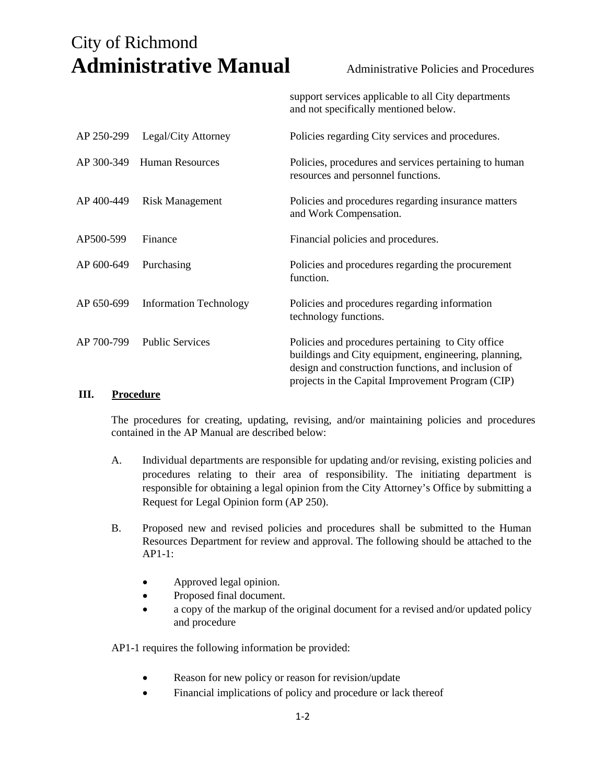# City of Richmond **Administrative Manual** Administrative Policies and Procedures

support services applicable to all City departments and not specifically mentioned below.

| AP 250-299         | Legal/City Attorney           | Policies regarding City services and procedures.                                                                                                                                                                      |
|--------------------|-------------------------------|-----------------------------------------------------------------------------------------------------------------------------------------------------------------------------------------------------------------------|
| AP 300-349         | <b>Human Resources</b>        | Policies, procedures and services pertaining to human<br>resources and personnel functions.                                                                                                                           |
| AP 400-449         | <b>Risk Management</b>        | Policies and procedures regarding insurance matters<br>and Work Compensation.                                                                                                                                         |
| AP500-599          | Finance                       | Financial policies and procedures.                                                                                                                                                                                    |
| AP 600-649         | Purchasing                    | Policies and procedures regarding the procurement<br>function.                                                                                                                                                        |
| AP 650-699         | <b>Information Technology</b> | Policies and procedures regarding information<br>technology functions.                                                                                                                                                |
| AP 700-799<br>TTT. | <b>Public Services</b>        | Policies and procedures pertaining to City office<br>buildings and City equipment, engineering, planning,<br>design and construction functions, and inclusion of<br>projects in the Capital Improvement Program (CIP) |
|                    |                               |                                                                                                                                                                                                                       |

### **III. Procedure**

The procedures for creating, updating, revising, and/or maintaining policies and procedures contained in the AP Manual are described below:

- A. Individual departments are responsible for updating and/or revising, existing policies and procedures relating to their area of responsibility. The initiating department is responsible for obtaining a legal opinion from the City Attorney's Office by submitting a Request for Legal Opinion form (AP 250).
- B. Proposed new and revised policies and procedures shall be submitted to the Human Resources Department for review and approval. The following should be attached to the AP1-1:
	- Approved legal opinion.
	- Proposed final document.
	- a copy of the markup of the original document for a revised and/or updated policy and procedure

AP1-1 requires the following information be provided:

- Reason for new policy or reason for revision/update
- Financial implications of policy and procedure or lack thereof